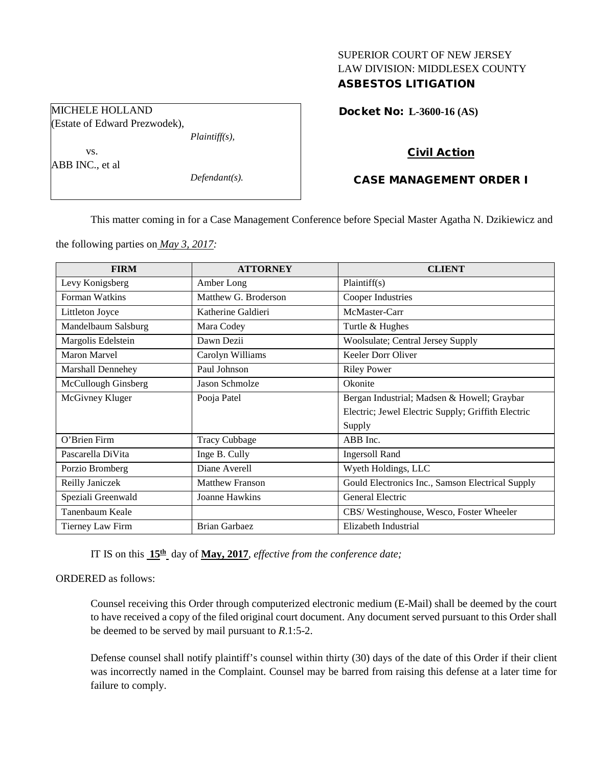## SUPERIOR COURT OF NEW JERSEY LAW DIVISION: MIDDLESEX COUNTY ASBESTOS LITIGATION

MICHELE HOLLAND (Estate of Edward Prezwodek),

*Plaintiff(s),*

vs. ABB INC., et al

*Defendant(s).*

Docket No: **L-3600-16 (AS)** 

## Civil Action

# CASE MANAGEMENT ORDER I

This matter coming in for a Case Management Conference before Special Master Agatha N. Dzikiewicz and

the following parties on *May 3, 2017:*

| <b>FIRM</b>         | <b>ATTORNEY</b>        | <b>CLIENT</b>                                      |
|---------------------|------------------------|----------------------------------------------------|
| Levy Konigsberg     | Amber Long             | Plaintiff(s)                                       |
| Forman Watkins      | Matthew G. Broderson   | Cooper Industries                                  |
| Littleton Joyce     | Katherine Galdieri     | McMaster-Carr                                      |
| Mandelbaum Salsburg | Mara Codey             | Turtle & Hughes                                    |
| Margolis Edelstein  | Dawn Dezii             | Woolsulate; Central Jersey Supply                  |
| <b>Maron Marvel</b> | Carolyn Williams       | Keeler Dorr Oliver                                 |
| Marshall Dennehey   | Paul Johnson           | <b>Riley Power</b>                                 |
| McCullough Ginsberg | Jason Schmolze         | Okonite                                            |
| McGivney Kluger     | Pooja Patel            | Bergan Industrial; Madsen & Howell; Graybar        |
|                     |                        | Electric; Jewel Electric Supply; Griffith Electric |
|                     |                        | Supply                                             |
| O'Brien Firm        | <b>Tracy Cubbage</b>   | ABB Inc.                                           |
| Pascarella DiVita   | Inge B. Cully          | <b>Ingersoll Rand</b>                              |
| Porzio Bromberg     | Diane Averell          | Wyeth Holdings, LLC                                |
| Reilly Janiczek     | <b>Matthew Franson</b> | Gould Electronics Inc., Samson Electrical Supply   |
| Speziali Greenwald  | Joanne Hawkins         | General Electric                                   |
| Tanenbaum Keale     |                        | CBS/Westinghouse, Wesco, Foster Wheeler            |
| Tierney Law Firm    | <b>Brian Garbaez</b>   | Elizabeth Industrial                               |

IT IS on this **15th** day of **May, 2017**, *effective from the conference date;*

ORDERED as follows:

Counsel receiving this Order through computerized electronic medium (E-Mail) shall be deemed by the court to have received a copy of the filed original court document. Any document served pursuant to this Order shall be deemed to be served by mail pursuant to *R*.1:5-2.

Defense counsel shall notify plaintiff's counsel within thirty (30) days of the date of this Order if their client was incorrectly named in the Complaint. Counsel may be barred from raising this defense at a later time for failure to comply.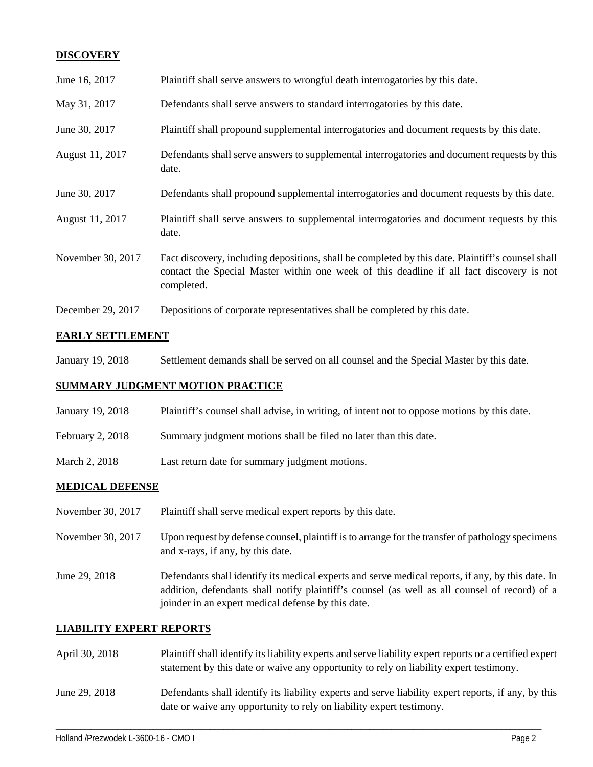## **DISCOVERY**

| June 16, 2017     | Plaintiff shall serve answers to wrongful death interrogatories by this date.                                                                                                                               |
|-------------------|-------------------------------------------------------------------------------------------------------------------------------------------------------------------------------------------------------------|
| May 31, 2017      | Defendants shall serve answers to standard interrogatories by this date.                                                                                                                                    |
| June 30, 2017     | Plaintiff shall propound supplemental interrogatories and document requests by this date.                                                                                                                   |
| August 11, 2017   | Defendants shall serve answers to supplemental interrogatories and document requests by this<br>date.                                                                                                       |
| June 30, 2017     | Defendants shall propound supplemental interrogatories and document requests by this date.                                                                                                                  |
| August 11, 2017   | Plaintiff shall serve answers to supplemental interrogatories and document requests by this<br>date.                                                                                                        |
| November 30, 2017 | Fact discovery, including depositions, shall be completed by this date. Plaintiff's counsel shall<br>contact the Special Master within one week of this deadline if all fact discovery is not<br>completed. |
| December 29, 2017 | Depositions of corporate representatives shall be completed by this date.                                                                                                                                   |

### **EARLY SETTLEMENT**

January 19, 2018 Settlement demands shall be served on all counsel and the Special Master by this date.

#### **SUMMARY JUDGMENT MOTION PRACTICE**

- January 19, 2018 Plaintiff's counsel shall advise, in writing, of intent not to oppose motions by this date.
- February 2, 2018 Summary judgment motions shall be filed no later than this date.
- March 2, 2018 Last return date for summary judgment motions.

#### **MEDICAL DEFENSE**

- November 30, 2017 Plaintiff shall serve medical expert reports by this date.
- November 30, 2017 Upon request by defense counsel, plaintiff is to arrange for the transfer of pathology specimens and x-rays, if any, by this date.
- June 29, 2018 Defendants shall identify its medical experts and serve medical reports, if any, by this date. In addition, defendants shall notify plaintiff's counsel (as well as all counsel of record) of a joinder in an expert medical defense by this date.

#### **LIABILITY EXPERT REPORTS**

- April 30, 2018 Plaintiff shall identify its liability experts and serve liability expert reports or a certified expert statement by this date or waive any opportunity to rely on liability expert testimony.
- June 29, 2018 Defendants shall identify its liability experts and serve liability expert reports, if any, by this date or waive any opportunity to rely on liability expert testimony.

\_\_\_\_\_\_\_\_\_\_\_\_\_\_\_\_\_\_\_\_\_\_\_\_\_\_\_\_\_\_\_\_\_\_\_\_\_\_\_\_\_\_\_\_\_\_\_\_\_\_\_\_\_\_\_\_\_\_\_\_\_\_\_\_\_\_\_\_\_\_\_\_\_\_\_\_\_\_\_\_\_\_\_\_\_\_\_\_\_\_\_\_\_\_\_\_\_\_\_\_\_\_\_\_\_\_\_\_\_\_